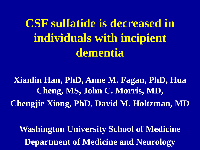**CSF sulfatide is decreased in individuals with incipient dementia**

**Xianlin Han, PhD, Anne M. Fagan, PhD, Hua Cheng, MS, John C. Morris, MD, Chengjie Xiong, PhD, David M. Holtzman, MD**

**Washington University School of Medicine Department of Medicine and Neurology**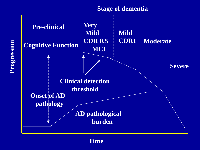#### **Stage of dementia**



**Progression**

**Time**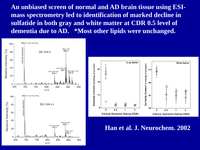**An unbiased screen of normal and AD brain tissue using ESImass spectrometry led to identification of marked decline in sulfatide in both gray and white matter at CDR 0.5 level of dementia due to AD. \*Most other lipids were unchanged.**





**Han et al. J. Neurochem. 2002**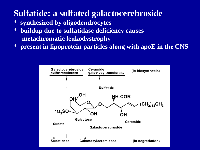# **Sulfatide: a sulfated galactocerebroside**

- **\* synthesized by oligodendrocytes**
- **\* buildup due to sulfatidase deficiency causes metachromatic leukodystrophy**
- **\* present in lipoprotein particles along with apoE in the CNS**

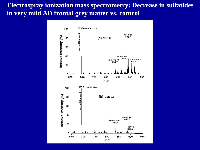#### **Electrospray ionization mass spectrometry: Decrease in sulfatides in very mild AD frontal grey matter vs. control**

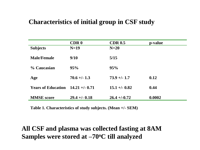#### **Characteristics of initial group in CSF study**

|                           | <b>CDR0</b>       | <b>CDR 0.5</b>   | p-value |
|---------------------------|-------------------|------------------|---------|
| <b>Subjects</b>           | $N=19$            | $N=20$           |         |
|                           |                   |                  |         |
| <b>Male/Female</b>        | 9/10              | 5/15             |         |
|                           |                   |                  |         |
| % Caucasian               | 95%               | 95%              |         |
|                           |                   |                  |         |
| Age                       | $70.6 +/- 1.3$    | $73.9 + (-1.7)$  | 0.12    |
| <b>Years of Education</b> | $14.21 + (-0.71)$ | $15.1 + (-0.82)$ | 0.44    |
|                           |                   |                  |         |
| <b>MMSE</b> score         | $29.4 + (-0.18)$  | $26.4 + (-0.72)$ | 0.0002  |
|                           |                   |                  |         |

**Table 1. Characteristics of study subjects. (Mean +/- SEM)** 

#### **All CSF and plasma was collected fasting at 8AM Samples were stored at –70oC till analyzed**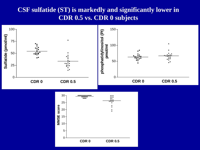#### **CSF sulfatide (ST) is markedly and significantly lower in CDR 0.5 vs. CDR 0 subjects**

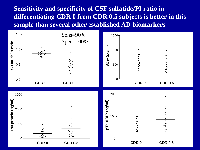**Sensitivity and specificity of CSF sulfatide/PI ratio in differentiating CDR 0 from CDR 0.5 subjects is better in this sample than several other established AD biomarkers**

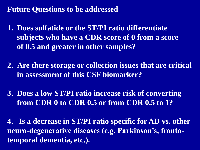### **Future Questions to be addressed**

- **1. Does sulfatide or the ST/PI ratio differentiate subjects who have a CDR score of 0 from a score of 0.5 and greater in other samples?**
- **2. Are there storage or collection issues that are critical in assessment of this CSF biomarker?**
- **3. Does a low ST/PI ratio increase risk of converting from CDR 0 to CDR 0.5 or from CDR 0.5 to 1?**

**4. Is a decrease in ST/PI ratio specific for AD vs. other neuro-degenerative diseases (e.g. Parkinson's, frontotemporal dementia, etc.).**